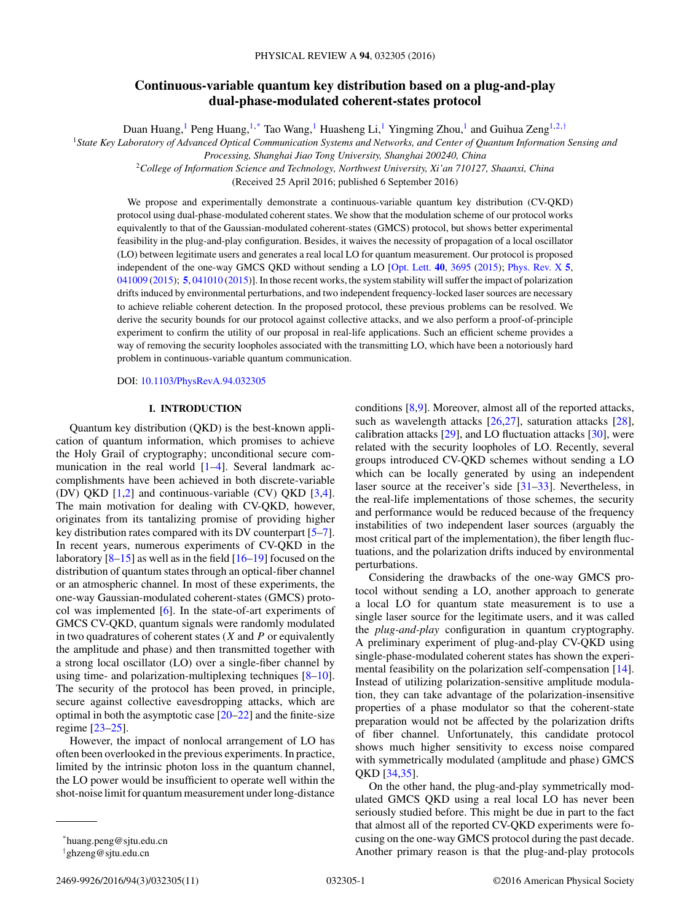# **Continuous-variable quantum key distribution based on a plug-and-play dual-phase-modulated coherent-states protocol**

Duan Huang,<sup>1</sup> Peng Huang,<sup>1,\*</sup> Tao Wang,<sup>1</sup> Huasheng Li,<sup>1</sup> Yingming Zhou,<sup>1</sup> and Guihua Zeng<sup>1,2,†</sup>

<sup>1</sup>*State Key Laboratory of Advanced Optical Communication Systems and Networks, and Center of Quantum Information Sensing and*

*Processing, Shanghai Jiao Tong University, Shanghai 200240, China*

<sup>2</sup>*College of Information Science and Technology, Northwest University, Xi'an 710127, Shaanxi, China*

(Received 25 April 2016; published 6 September 2016)

We propose and experimentally demonstrate a continuous-variable quantum key distribution (CV-QKD) protocol using dual-phase-modulated coherent states. We show that the modulation scheme of our protocol works equivalently to that of the Gaussian-modulated coherent-states (GMCS) protocol, but shows better experimental feasibility in the plug-and-play configuration. Besides, it waives the necessity of propagation of a local oscillator (LO) between legitimate users and generates a real local LO for quantum measurement. Our protocol is proposed independent of the one-way GMCS QKD without sending a LO [\[Opt. Lett.](http://dx.doi.org/10.1364/OL.40.003695) **[40](http://dx.doi.org/10.1364/OL.40.003695)**, [3695](http://dx.doi.org/10.1364/OL.40.003695) [\(2015\)](http://dx.doi.org/10.1364/OL.40.003695); [Phys. Rev. X](http://dx.doi.org/10.1103/PhysRevX.5.041009) **[5](http://dx.doi.org/10.1103/PhysRevX.5.041009)**, [041009](http://dx.doi.org/10.1103/PhysRevX.5.041009) [\(2015\)](http://dx.doi.org/10.1103/PhysRevX.5.041009); **[5](http://dx.doi.org/10.1103/PhysRevX.5.041010)**, [041010](http://dx.doi.org/10.1103/PhysRevX.5.041010) [\(2015\)](http://dx.doi.org/10.1103/PhysRevX.5.041010)]. In those recent works, the system stability will suffer the impact of polarization drifts induced by environmental perturbations, and two independent frequency-locked laser sources are necessary to achieve reliable coherent detection. In the proposed protocol, these previous problems can be resolved. We derive the security bounds for our protocol against collective attacks, and we also perform a proof-of-principle experiment to confirm the utility of our proposal in real-life applications. Such an efficient scheme provides a way of removing the security loopholes associated with the transmitting LO, which have been a notoriously hard problem in continuous-variable quantum communication.

DOI: [10.1103/PhysRevA.94.032305](http://dx.doi.org/10.1103/PhysRevA.94.032305)

### **I. INTRODUCTION**

Quantum key distribution (QKD) is the best-known application of quantum information, which promises to achieve the Holy Grail of cryptography; unconditional secure communication in the real world  $[1-4]$ . Several landmark accomplishments have been achieved in both discrete-variable (DV) QKD [\[1,2\]](#page-10-0) and continuous-variable (CV) QKD [\[3,4\]](#page-10-0). The main motivation for dealing with CV-QKD, however, originates from its tantalizing promise of providing higher key distribution rates compared with its DV counterpart [\[5–7\]](#page-10-0). In recent years, numerous experiments of CV-QKD in the laboratory  $[8-15]$  as well as in the field  $[16-19]$  focused on the distribution of quantum states through an optical-fiber channel or an atmospheric channel. In most of these experiments, the one-way Gaussian-modulated coherent-states (GMCS) protocol was implemented [\[6\]](#page-10-0). In the state-of-art experiments of GMCS CV-QKD, quantum signals were randomly modulated in two quadratures of coherent states (*X* and *P* or equivalently the amplitude and phase) and then transmitted together with a strong local oscillator (LO) over a single-fiber channel by using time- and polarization-multiplexing techniques [\[8–10\]](#page-10-0). The security of the protocol has been proved, in principle, secure against collective eavesdropping attacks, which are optimal in both the asymptotic case  $[20-22]$  and the finite-size regime [\[23–25\]](#page-10-0).

However, the impact of nonlocal arrangement of LO has often been overlooked in the previous experiments. In practice, limited by the intrinsic photon loss in the quantum channel, the LO power would be insufficient to operate well within the shot-noise limit for quantum measurement under long-distance

conditions [\[8,9\]](#page-10-0). Moreover, almost all of the reported attacks, such as wavelength attacks [\[26,27\]](#page-10-0), saturation attacks [\[28\]](#page-10-0), calibration attacks [\[29\]](#page-10-0), and LO fluctuation attacks [\[30\]](#page-10-0), were related with the security loopholes of LO. Recently, several groups introduced CV-QKD schemes without sending a LO which can be locally generated by using an independent laser source at the receiver's side [\[31–33\]](#page-10-0). Nevertheless, in the real-life implementations of those schemes, the security and performance would be reduced because of the frequency instabilities of two independent laser sources (arguably the most critical part of the implementation), the fiber length fluctuations, and the polarization drifts induced by environmental perturbations.

Considering the drawbacks of the one-way GMCS protocol without sending a LO, another approach to generate a local LO for quantum state measurement is to use a single laser source for the legitimate users, and it was called the *plug-and-play* configuration in quantum cryptography. A preliminary experiment of plug-and-play CV-QKD using single-phase-modulated coherent states has shown the experimental feasibility on the polarization self-compensation [\[14\]](#page-10-0). Instead of utilizing polarization-sensitive amplitude modulation, they can take advantage of the polarization-insensitive properties of a phase modulator so that the coherent-state preparation would not be affected by the polarization drifts of fiber channel. Unfortunately, this candidate protocol shows much higher sensitivity to excess noise compared with symmetrically modulated (amplitude and phase) GMCS QKD [\[34,35\]](#page-10-0).

On the other hand, the plug-and-play symmetrically modulated GMCS QKD using a real local LO has never been seriously studied before. This might be due in part to the fact that almost all of the reported CV-QKD experiments were focusing on the one-way GMCS protocol during the past decade. Another primary reason is that the plug-and-play protocols

<sup>\*</sup>huang.peng@sjtu.edu.cn

<sup>†</sup> ghzeng@sjtu.edu.cn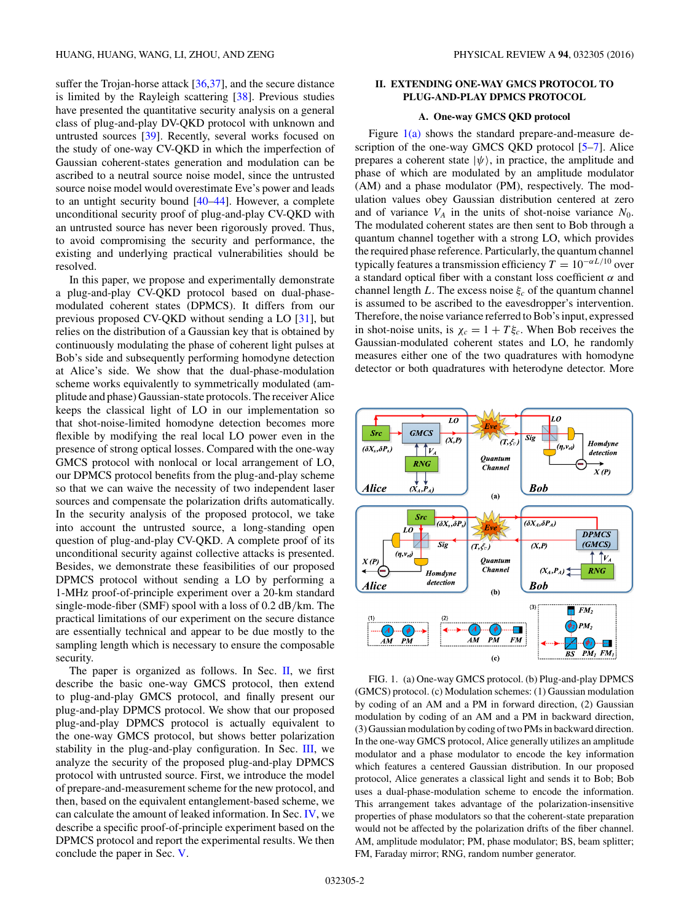<span id="page-1-0"></span>suffer the Trojan-horse attack [\[36,37\]](#page-10-0), and the secure distance is limited by the Rayleigh scattering [\[38\]](#page-10-0). Previous studies have presented the quantitative security analysis on a general class of plug-and-play DV-QKD protocol with unknown and untrusted sources [\[39\]](#page-10-0). Recently, several works focused on the study of one-way CV-QKD in which the imperfection of Gaussian coherent-states generation and modulation can be ascribed to a neutral source noise model, since the untrusted source noise model would overestimate Eve's power and leads to an untight security bound [\[40–44\]](#page-10-0). However, a complete unconditional security proof of plug-and-play CV-QKD with an untrusted source has never been rigorously proved. Thus, to avoid compromising the security and performance, the existing and underlying practical vulnerabilities should be resolved.

In this paper, we propose and experimentally demonstrate a plug-and-play CV-QKD protocol based on dual-phasemodulated coherent states (DPMCS). It differs from our previous proposed CV-QKD without sending a LO [\[31\]](#page-10-0), but relies on the distribution of a Gaussian key that is obtained by continuously modulating the phase of coherent light pulses at Bob's side and subsequently performing homodyne detection at Alice's side. We show that the dual-phase-modulation scheme works equivalently to symmetrically modulated (amplitude and phase) Gaussian-state protocols. The receiver Alice keeps the classical light of LO in our implementation so that shot-noise-limited homodyne detection becomes more flexible by modifying the real local LO power even in the presence of strong optical losses. Compared with the one-way GMCS protocol with nonlocal or local arrangement of LO, our DPMCS protocol benefits from the plug-and-play scheme so that we can waive the necessity of two independent laser sources and compensate the polarization drifts automatically. In the security analysis of the proposed protocol, we take into account the untrusted source, a long-standing open question of plug-and-play CV-QKD. A complete proof of its unconditional security against collective attacks is presented. Besides, we demonstrate these feasibilities of our proposed DPMCS protocol without sending a LO by performing a 1-MHz proof-of-principle experiment over a 20-km standard single-mode-fiber (SMF) spool with a loss of 0.2 dB*/*km. The practical limitations of our experiment on the secure distance are essentially technical and appear to be due mostly to the sampling length which is necessary to ensure the composable security.

The paper is organized as follows. In Sec.  $II$ , we first describe the basic one-way GMCS protocol, then extend to plug-and-play GMCS protocol, and finally present our plug-and-play DPMCS protocol. We show that our proposed plug-and-play DPMCS protocol is actually equivalent to the one-way GMCS protocol, but shows better polarization stability in the plug-and-play configuration. In Sec. [III,](#page-3-0) we analyze the security of the proposed plug-and-play DPMCS protocol with untrusted source. First, we introduce the model of prepare-and-measurement scheme for the new protocol, and then, based on the equivalent entanglement-based scheme, we can calculate the amount of leaked information. In Sec. [IV,](#page-6-0) we describe a specific proof-of-principle experiment based on the DPMCS protocol and report the experimental results. We then conclude the paper in Sec. [V.](#page-9-0)

# **II. EXTENDING ONE-WAY GMCS PROTOCOL TO PLUG-AND-PLAY DPMCS PROTOCOL**

# **A. One-way GMCS QKD protocol**

Figure  $1(a)$  shows the standard prepare-and-measure description of the one-way GMCS QKD protocol [\[5–7\]](#page-10-0). Alice prepares a coherent state  $|\psi\rangle$ , in practice, the amplitude and phase of which are modulated by an amplitude modulator (AM) and a phase modulator (PM), respectively. The modulation values obey Gaussian distribution centered at zero and of variance  $V_A$  in the units of shot-noise variance  $N_0$ . The modulated coherent states are then sent to Bob through a quantum channel together with a strong LO, which provides the required phase reference. Particularly, the quantum channel typically features a transmission efficiency  $T = 10^{-\alpha L/10}$  over a standard optical fiber with a constant loss coefficient *α* and channel length *L*. The excess noise  $\xi_c$  of the quantum channel is assumed to be ascribed to the eavesdropper's intervention. Therefore, the noise variance referred to Bob's input, expressed in shot-noise units, is  $\chi_c = 1 + T \xi_c$ . When Bob receives the Gaussian-modulated coherent states and LO, he randomly measures either one of the two quadratures with homodyne detector or both quadratures with heterodyne detector. More



FIG. 1. (a) One-way GMCS protocol. (b) Plug-and-play DPMCS (GMCS) protocol. (c) Modulation schemes: (1) Gaussian modulation by coding of an AM and a PM in forward direction, (2) Gaussian modulation by coding of an AM and a PM in backward direction, (3) Gaussian modulation by coding of two PMs in backward direction. In the one-way GMCS protocol, Alice generally utilizes an amplitude modulator and a phase modulator to encode the key information which features a centered Gaussian distribution. In our proposed protocol, Alice generates a classical light and sends it to Bob; Bob uses a dual-phase-modulation scheme to encode the information. This arrangement takes advantage of the polarization-insensitive properties of phase modulators so that the coherent-state preparation would not be affected by the polarization drifts of the fiber channel. AM, amplitude modulator; PM, phase modulator; BS, beam splitter; FM, Faraday mirror; RNG, random number generator.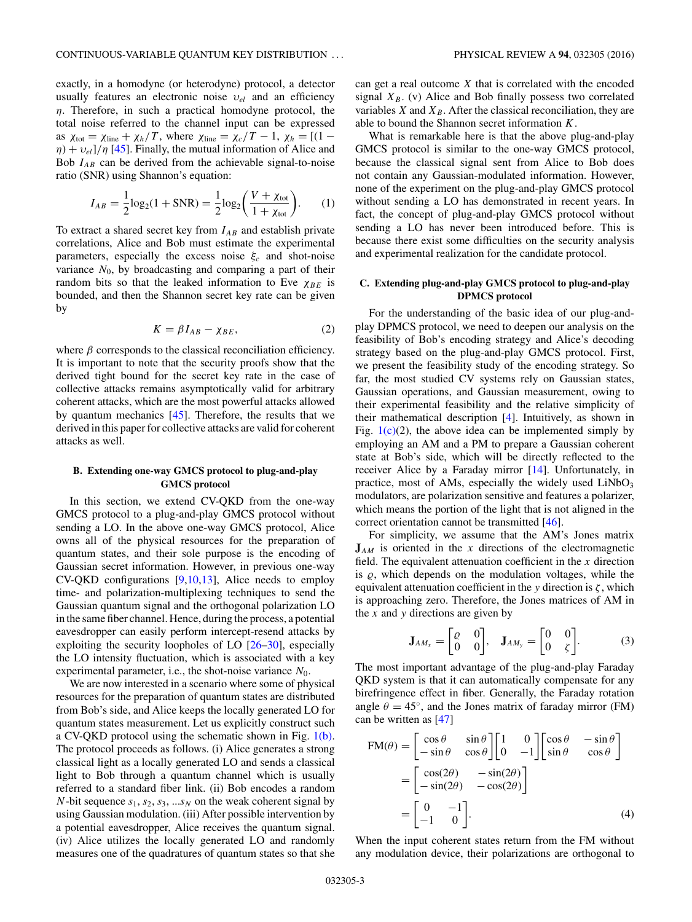<span id="page-2-0"></span>exactly, in a homodyne (or heterodyne) protocol, a detector usually features an electronic noise *υel* and an efficiency *η*. Therefore, in such a practical homodyne protocol, the total noise referred to the channel input can be expressed as  $\chi_{\text{tot}} = \chi_{\text{line}} + \chi_h/T$ , where  $\chi_{\text{line}} = \chi_c/T - 1$ ,  $\chi_h = [(1$ *η*) + *υel*]*/η* [\[45\]](#page-10-0). Finally, the mutual information of Alice and Bob *IAB* can be derived from the achievable signal-to-noise ratio (SNR) using Shannon's equation:

$$
I_{AB} = \frac{1}{2}\log_2(1 + \text{SNR}) = \frac{1}{2}\log_2\left(\frac{V + \chi_{\text{tot}}}{1 + \chi_{\text{tot}}}\right).
$$
 (1)

To extract a shared secret key from  $I_{AB}$  and establish private correlations, Alice and Bob must estimate the experimental parameters, especially the excess noise  $\xi_c$  and shot-noise variance  $N_0$ , by broadcasting and comparing a part of their random bits so that the leaked information to Eve  $\chi_{BE}$  is bounded, and then the Shannon secret key rate can be given by

$$
K = \beta I_{AB} - \chi_{BE},\tag{2}
$$

where  $\beta$  corresponds to the classical reconciliation efficiency. It is important to note that the security proofs show that the derived tight bound for the secret key rate in the case of collective attacks remains asymptotically valid for arbitrary coherent attacks, which are the most powerful attacks allowed by quantum mechanics [\[45\]](#page-10-0). Therefore, the results that we derived in this paper for collective attacks are valid for coherent attacks as well.

# **B. Extending one-way GMCS protocol to plug-and-play GMCS protocol**

In this section, we extend CV-QKD from the one-way GMCS protocol to a plug-and-play GMCS protocol without sending a LO. In the above one-way GMCS protocol, Alice owns all of the physical resources for the preparation of quantum states, and their sole purpose is the encoding of Gaussian secret information. However, in previous one-way CV-QKD configurations [\[9,10,13\]](#page-10-0), Alice needs to employ time- and polarization-multiplexing techniques to send the Gaussian quantum signal and the orthogonal polarization LO in the same fiber channel. Hence, during the process, a potential eavesdropper can easily perform intercept-resend attacks by exploiting the security loopholes of LO [\[26–30\]](#page-10-0), especially the LO intensity fluctuation, which is associated with a key experimental parameter, i.e., the shot-noise variance *N*0.

We are now interested in a scenario where some of physical resources for the preparation of quantum states are distributed from Bob's side, and Alice keeps the locally generated LO for quantum states measurement. Let us explicitly construct such a CV-QKD protocol using the schematic shown in Fig. [1\(b\).](#page-1-0) The protocol proceeds as follows. (i) Alice generates a strong classical light as a locally generated LO and sends a classical light to Bob through a quantum channel which is usually referred to a standard fiber link. (ii) Bob encodes a random *N*-bit sequence  $s_1$ ,  $s_2$ ,  $s_3$ , ... $s_N$  on the weak coherent signal by using Gaussian modulation. (iii) After possible intervention by a potential eavesdropper, Alice receives the quantum signal. (iv) Alice utilizes the locally generated LO and randomly measures one of the quadratures of quantum states so that she

can get a real outcome *X* that is correlated with the encoded signal  $X_B$ . (v) Alice and Bob finally possess two correlated variables *X* and  $X_B$ . After the classical reconciliation, they are able to bound the Shannon secret information *K*.

What is remarkable here is that the above plug-and-play GMCS protocol is similar to the one-way GMCS protocol, because the classical signal sent from Alice to Bob does not contain any Gaussian-modulated information. However, none of the experiment on the plug-and-play GMCS protocol without sending a LO has demonstrated in recent years. In fact, the concept of plug-and-play GMCS protocol without sending a LO has never been introduced before. This is because there exist some difficulties on the security analysis and experimental realization for the candidate protocol.

# **C. Extending plug-and-play GMCS protocol to plug-and-play DPMCS protocol**

For the understanding of the basic idea of our plug-andplay DPMCS protocol, we need to deepen our analysis on the feasibility of Bob's encoding strategy and Alice's decoding strategy based on the plug-and-play GMCS protocol. First, we present the feasibility study of the encoding strategy. So far, the most studied CV systems rely on Gaussian states, Gaussian operations, and Gaussian measurement, owing to their experimental feasibility and the relative simplicity of their mathematical description [\[4\]](#page-10-0). Intuitively, as shown in Fig.  $1(c)(2)$  $1(c)(2)$ , the above idea can be implemented simply by employing an AM and a PM to prepare a Gaussian coherent state at Bob's side, which will be directly reflected to the receiver Alice by a Faraday mirror [\[14\]](#page-10-0). Unfortunately, in practice, most of AMs, especially the widely used  $LiNbO<sub>3</sub>$ modulators, are polarization sensitive and features a polarizer, which means the portion of the light that is not aligned in the correct orientation cannot be transmitted [\[46\]](#page-10-0).

For simplicity, we assume that the AM's Jones matrix  $J_{AM}$  is oriented in the *x* directions of the electromagnetic field. The equivalent attenuation coefficient in the *x* direction is  $\rho$ , which depends on the modulation voltages, while the equivalent attenuation coefficient in the *y* direction is *ζ* , which is approaching zero. Therefore, the Jones matrices of AM in the *x* and *y* directions are given by

$$
\mathbf{J}_{AM_x} = \begin{bmatrix} \varrho & 0 \\ 0 & 0 \end{bmatrix}, \quad \mathbf{J}_{AM_y} = \begin{bmatrix} 0 & 0 \\ 0 & \zeta \end{bmatrix}.
$$
 (3)

The most important advantage of the plug-and-play Faraday QKD system is that it can automatically compensate for any birefringence effect in fiber. Generally, the Faraday rotation angle  $\theta = 45^\circ$ , and the Jones matrix of faraday mirror (FM) can be written as [\[47\]](#page-10-0)

$$
FM(\theta) = \begin{bmatrix} \cos \theta & \sin \theta \\ -\sin \theta & \cos \theta \end{bmatrix} \begin{bmatrix} 1 & 0 \\ 0 & -1 \end{bmatrix} \begin{bmatrix} \cos \theta & -\sin \theta \\ \sin \theta & \cos \theta \end{bmatrix}
$$

$$
= \begin{bmatrix} \cos(2\theta) & -\sin(2\theta) \\ -\sin(2\theta) & -\cos(2\theta) \end{bmatrix}
$$

$$
= \begin{bmatrix} 0 & -1 \\ -1 & 0 \end{bmatrix}.
$$
(4)

When the input coherent states return from the FM without any modulation device, their polarizations are orthogonal to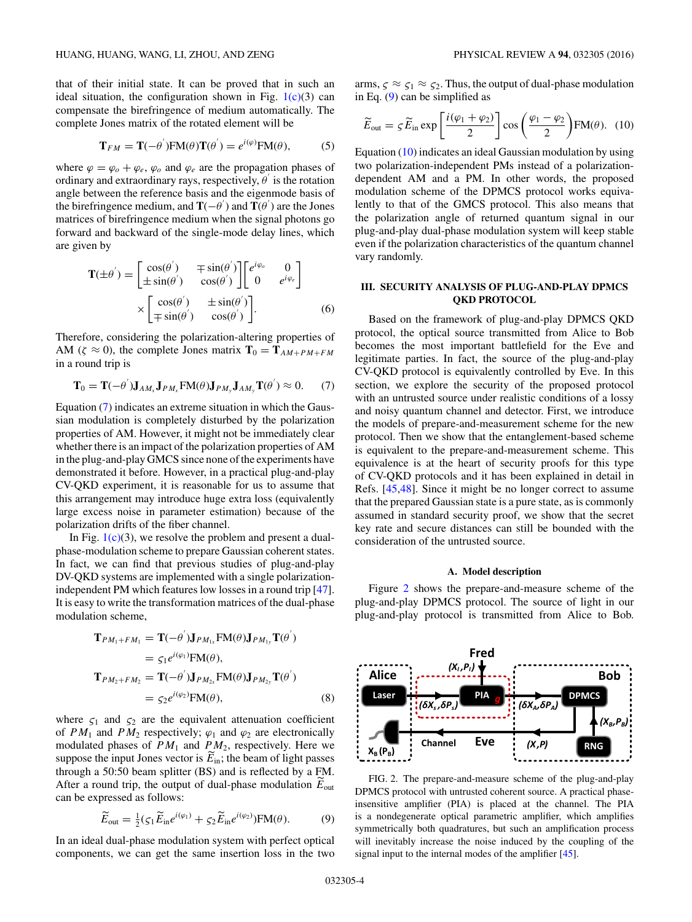<span id="page-3-0"></span>that of their initial state. It can be proved that in such an ideal situation, the configuration shown in Fig.  $1(c)(3)$  $1(c)(3)$  can compensate the birefringence of medium automatically. The complete Jones matrix of the rotated element will be

$$
\mathbf{T}_{FM} = \mathbf{T}(-\theta^{'}) \mathbf{F} \mathbf{M}(\theta) \mathbf{T}(\theta^{'}) = e^{i(\varphi)} \mathbf{F} \mathbf{M}(\theta),
$$
 (5)

where  $\varphi = \varphi_o + \varphi_e$ ,  $\varphi_o$  and  $\varphi_e$  are the propagation phases of ordinary and extraordinary rays, respectively,  $\theta$ <sup>'</sup> is the rotation angle between the reference basis and the eigenmode basis of the birefringence medium, and **T**( $-\theta$ <sup>'</sup>) and **T**( $\theta$ <sup>'</sup>) are the Jones matrices of birefringence medium when the signal photons go forward and backward of the single-mode delay lines, which are given by

$$
\mathbf{T}(\pm \theta') = \begin{bmatrix} \cos(\theta') & \mp \sin(\theta') \\ \pm \sin(\theta') & \cos(\theta') \end{bmatrix} \begin{bmatrix} e^{i\varphi_o} & 0 \\ 0 & e^{i\varphi_e} \end{bmatrix}
$$

$$
\times \begin{bmatrix} \cos(\theta') & \pm \sin(\theta') \\ \mp \sin(\theta') & \cos(\theta') \end{bmatrix} .
$$
(6)

Therefore, considering the polarization-altering properties of AM ( $\zeta \approx 0$ ), the complete Jones matrix  $\mathbf{T}_0 = \mathbf{T}_{AM+PM+FM}$ in a round trip is

$$
\mathbf{T}_0 = \mathbf{T}(-\theta')\mathbf{J}_{AM_x}\mathbf{J}_{PM_x}\text{FM}(\theta)\mathbf{J}_{PM_y}\mathbf{J}_{AM_y}\mathbf{T}(\theta') \approx 0. \tag{7}
$$

Equation (7) indicates an extreme situation in which the Gaussian modulation is completely disturbed by the polarization properties of AM. However, it might not be immediately clear whether there is an impact of the polarization properties of AM in the plug-and-play GMCS since none of the experiments have demonstrated it before. However, in a practical plug-and-play CV-QKD experiment, it is reasonable for us to assume that this arrangement may introduce huge extra loss (equivalently large excess noise in parameter estimation) because of the polarization drifts of the fiber channel.

In Fig.  $1(c)(3)$  $1(c)(3)$ , we resolve the problem and present a dualphase-modulation scheme to prepare Gaussian coherent states. In fact, we can find that previous studies of plug-and-play DV-QKD systems are implemented with a single polarizationindependent PM which features low losses in a round trip [\[47\]](#page-10-0). It is easy to write the transformation matrices of the dual-phase modulation scheme,

$$
\mathbf{T}_{PM_1+FM_1} = \mathbf{T}(-\theta')\mathbf{J}_{PM_{1x}}\mathbf{FM}(\theta)\mathbf{J}_{PM_{1y}}\mathbf{T}(\theta')
$$
  
\n
$$
= \varsigma_1 e^{i(\varphi_1)}\mathbf{FM}(\theta),
$$
  
\n
$$
\mathbf{T}_{PM_2+FM_2} = \mathbf{T}(-\theta')\mathbf{J}_{PM_{2x}}\mathbf{FM}(\theta)\mathbf{J}_{PM_{2y}}\mathbf{T}(\theta')
$$
  
\n
$$
= \varsigma_2 e^{i(\varphi_2)}\mathbf{FM}(\theta),
$$
 (8)

where  $\zeta_1$  and  $\zeta_2$  are the equivalent attenuation coefficient of  $PM_1$  and  $PM_2$  respectively;  $\varphi_1$  and  $\varphi_2$  are electronically modulated phases of  $PM_1$  and  $PM_2$ , respectively. Here we suppose the input Jones vector is  $E_{\text{in}}$ ; the beam of light passes through a 50:50 beam splitter (BS) and is reflected by a FM. After a round trip, the output of dual-phase modulation  $E_{\text{out}}$ can be expressed as follows:

$$
\widetilde{E}_{\text{out}} = \frac{1}{2} (\zeta_1 \widetilde{E}_{\text{in}} e^{i(\varphi_1)} + \zeta_2 \widetilde{E}_{\text{in}} e^{i(\varphi_2)}) \mathbf{F} \mathbf{M}(\theta). \tag{9}
$$

In an ideal dual-phase modulation system with perfect optical components, we can get the same insertion loss in the two arms,  $\zeta \approx \zeta_1 \approx \zeta_2$ . Thus, the output of dual-phase modulation in Eq. (9) can be simplified as

$$
\widetilde{E}_{\text{out}} = \varsigma \widetilde{E}_{\text{in}} \exp\left[\frac{i(\varphi_1 + \varphi_2)}{2}\right] \cos\left(\frac{\varphi_1 - \varphi_2}{2}\right) \text{FM}(\theta). \tag{10}
$$

Equation (10) indicates an ideal Gaussian modulation by using two polarization-independent PMs instead of a polarizationdependent AM and a PM. In other words, the proposed modulation scheme of the DPMCS protocol works equivalently to that of the GMCS protocol. This also means that the polarization angle of returned quantum signal in our plug-and-play dual-phase modulation system will keep stable even if the polarization characteristics of the quantum channel vary randomly.

# **III. SECURITY ANALYSIS OF PLUG-AND-PLAY DPMCS QKD PROTOCOL**

Based on the framework of plug-and-play DPMCS QKD protocol, the optical source transmitted from Alice to Bob becomes the most important battlefield for the Eve and legitimate parties. In fact, the source of the plug-and-play CV-QKD protocol is equivalently controlled by Eve. In this section, we explore the security of the proposed protocol with an untrusted source under realistic conditions of a lossy and noisy quantum channel and detector. First, we introduce the models of prepare-and-measurement scheme for the new protocol. Then we show that the entanglement-based scheme is equivalent to the prepare-and-measurement scheme. This equivalence is at the heart of security proofs for this type of CV-QKD protocols and it has been explained in detail in Refs. [\[45,48\]](#page-10-0). Since it might be no longer correct to assume that the prepared Gaussian state is a pure state, as is commonly assumed in standard security proof, we show that the secret key rate and secure distances can still be bounded with the consideration of the untrusted source.

#### **A. Model description**

Figure 2 shows the prepare-and-measure scheme of the plug-and-play DPMCS protocol. The source of light in our plug-and-play protocol is transmitted from Alice to Bob.



FIG. 2. The prepare-and-measure scheme of the plug-and-play DPMCS protocol with untrusted coherent source. A practical phaseinsensitive amplifier (PIA) is placed at the channel. The PIA is a nondegenerate optical parametric amplifier, which amplifies symmetrically both quadratures, but such an amplification process will inevitably increase the noise induced by the coupling of the signal input to the internal modes of the amplifier [\[45\]](#page-10-0).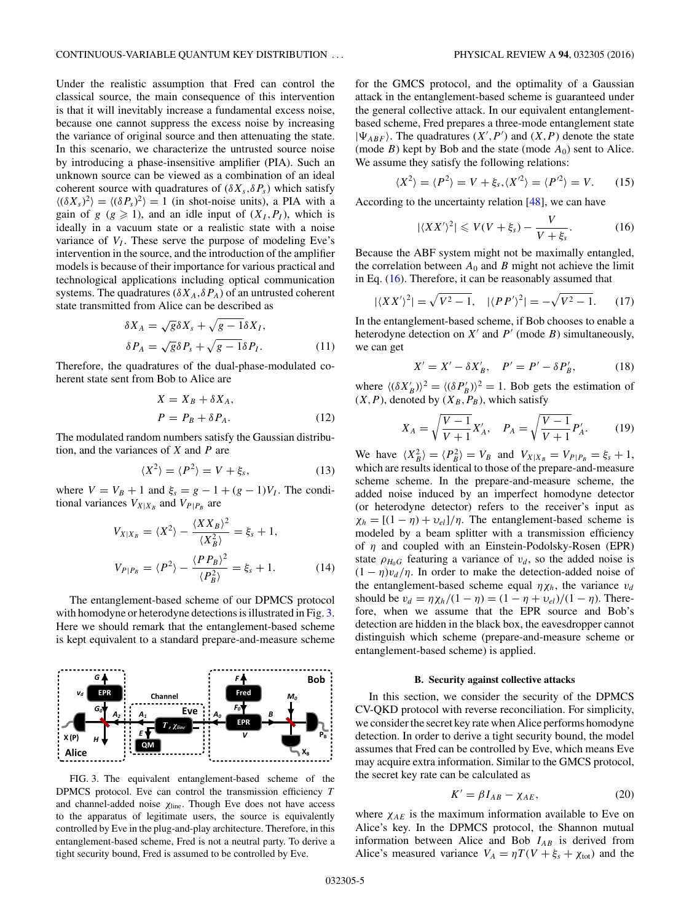<span id="page-4-0"></span>Under the realistic assumption that Fred can control the classical source, the main consequence of this intervention is that it will inevitably increase a fundamental excess noise, because one cannot suppress the excess noise by increasing the variance of original source and then attenuating the state. In this scenario, we characterize the untrusted source noise by introducing a phase-insensitive amplifier (PIA). Such an unknown source can be viewed as a combination of an ideal coherent source with quadratures of  $(\delta X_s, \delta P_s)$  which satisfy  $\langle (\delta X_s)^2 \rangle = \langle (\delta P_s)^2 \rangle = 1$  (in shot-noise units), a PIA with a gain of  $g$  ( $g \ge 1$ ), and an idle input of  $(X_I, P_I)$ , which is ideally in a vacuum state or a realistic state with a noise variance of  $V_I$ . These serve the purpose of modeling Eve's intervention in the source, and the introduction of the amplifier models is because of their importance for various practical and technological applications including optical communication systems. The quadratures ( $\delta X_A$ , $\delta P_A$ ) of an untrusted coherent state transmitted from Alice can be described as

$$
\delta X_A = \sqrt{g} \delta X_s + \sqrt{g - 1} \delta X_I,
$$
  

$$
\delta P_A = \sqrt{g} \delta P_s + \sqrt{g - 1} \delta P_I.
$$
 (11)

Therefore, the quadratures of the dual-phase-modulated coherent state sent from Bob to Alice are

$$
X = X_B + \delta X_A,
$$
  
\n
$$
P = P_B + \delta P_A.
$$
\n(12)

The modulated random numbers satisfy the Gaussian distribution, and the variances of *X* and *P* are

$$
\langle X^2 \rangle = \langle P^2 \rangle = V + \xi_s,\tag{13}
$$

where  $V = V_B + 1$  and  $\xi_s = g - 1 + (g - 1)V_I$ . The conditional variances  $V_{X|X_B}$  and  $V_{P|P_B}$  are

$$
V_{X|X_B} = \langle X^2 \rangle - \frac{\langle X X_B \rangle^2}{\langle X_B^2 \rangle} = \xi_s + 1,
$$
  

$$
V_{P|P_B} = \langle P^2 \rangle - \frac{\langle P P_B \rangle^2}{\langle P_B^2 \rangle} = \xi_s + 1.
$$
 (14)

The entanglement-based scheme of our DPMCS protocol with homodyne or heterodyne detections is illustrated in Fig. 3. Here we should remark that the entanglement-based scheme is kept equivalent to a standard prepare-and-measure scheme



FIG. 3. The equivalent entanglement-based scheme of the DPMCS protocol. Eve can control the transmission efficiency *T* and channel-added noise *χ*line. Though Eve does not have access to the apparatus of legitimate users, the source is equivalently controlled by Eve in the plug-and-play architecture. Therefore, in this entanglement-based scheme, Fred is not a neutral party. To derive a tight security bound, Fred is assumed to be controlled by Eve.

for the GMCS protocol, and the optimality of a Gaussian attack in the entanglement-based scheme is guaranteed under the general collective attack. In our equivalent entanglementbased scheme, Fred prepares a three-mode entanglement state  $|\Psi_{ABF}\rangle$ . The quadratures  $(X', P')$  and  $(X, P)$  denote the state (mode *B*) kept by Bob and the state (mode  $A_0$ ) sent to Alice. We assume they satisfy the following relations:

$$
\langle X^2 \rangle = \langle P^2 \rangle = V + \xi_s, \langle X^2 \rangle = \langle P^2 \rangle = V. \tag{15}
$$

According to the uncertainty relation [\[48\]](#page-10-0), we can have

$$
|\langle XX'\rangle^2| \leqslant V(V+\xi_s)-\frac{V}{V+\xi_s}.\tag{16}
$$

Because the ABF system might not be maximally entangled, the correlation between  $A_0$  and  $B$  might not achieve the limit in Eq. (16). Therefore, it can be reasonably assumed that

$$
|\langle XX'\rangle^2| = \sqrt{V^2 - 1}, \quad |\langle PP'\rangle^2| = -\sqrt{V^2 - 1}.
$$
 (17)

In the entanglement-based scheme, if Bob chooses to enable a heterodyne detection on  $X'$  and  $P'$  (mode  $B$ ) simultaneously, we can get

$$
X' = X' - \delta X'_B, \quad P' = P' - \delta P'_B,\tag{18}
$$

where  $\langle (\delta X'_B) \rangle^2 = \langle (\delta P'_B) \rangle^2 = 1$ . Bob gets the estimation of  $(X, P)$ , denoted by  $(X_B, P_B)$ , which satisfy

$$
X_A = \sqrt{\frac{V-1}{V+1}} X'_A, \quad P_A = \sqrt{\frac{V-1}{V+1}} P'_A. \tag{19}
$$

We have  $\langle X_B^2 \rangle = \langle P_B^2 \rangle = V_B$  and  $V_{X|X_B} = V_{P|P_B} = \xi_s + 1$ , which are results identical to those of the prepare-and-measure scheme scheme. In the prepare-and-measure scheme, the added noise induced by an imperfect homodyne detector (or heterodyne detector) refers to the receiver's input as  $\chi_h = [(1 - \eta) + v_{el}]/\eta$ . The entanglement-based scheme is modeled by a beam splitter with a transmission efficiency of *η* and coupled with an Einstein-Podolsky-Rosen (EPR) state  $\rho_{H_0G}$  featuring a variance of  $v_d$ , so the added noise is  $(1 - \eta)v_d/\eta$ . In order to make the detection-added noise of the entanglement-based scheme equal  $\eta \chi_h$ , the variance  $v_d$ should be  $v_d = \eta \chi_h / (1 - \eta) = (1 - \eta + v_{el}) / (1 - \eta)$ . Therefore, when we assume that the EPR source and Bob's detection are hidden in the black box, the eavesdropper cannot distinguish which scheme (prepare-and-measure scheme or entanglement-based scheme) is applied.

#### **B. Security against collective attacks**

In this section, we consider the security of the DPMCS CV-QKD protocol with reverse reconciliation. For simplicity, we consider the secret key rate when Alice performs homodyne detection. In order to derive a tight security bound, the model assumes that Fred can be controlled by Eve, which means Eve may acquire extra information. Similar to the GMCS protocol, the secret key rate can be calculated as

$$
K' = \beta I_{AB} - \chi_{AE},\tag{20}
$$

where  $\chi_{AE}$  is the maximum information available to Eve on Alice's key. In the DPMCS protocol, the Shannon mutual information between Alice and Bob  $I_{AB}$  is derived from Alice's measured variance  $V_A = \eta T(V + \xi_s + \chi_{\text{tot}})$  and the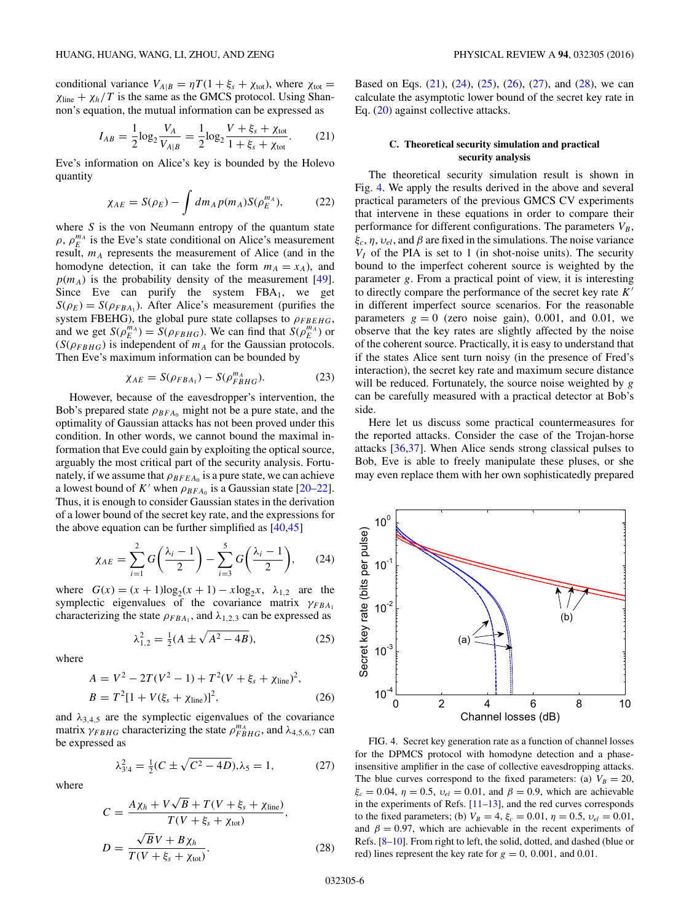<span id="page-5-0"></span>conditional variance  $V_{A|B} = \eta T (1 + \xi_s + \chi_{tot})$ , where  $\chi_{tot} =$  $\chi$ <sub>line</sub> +  $\chi$ <sub>h</sub>/T is the same as the GMCS protocol. Using Shannon's equation, the mutual information can be expressed as

$$
I_{AB} = \frac{1}{2} \log_2 \frac{V_A}{V_{A|B}} = \frac{1}{2} \log_2 \frac{V + \xi_s + \chi_{\text{tot}}}{1 + \xi_s + \chi_{\text{tot}}}.
$$
 (21)

Eve's information on Alice's key is bounded by the Holevo quantity

$$
\chi_{AE} = S(\rho_E) - \int dm_A p(m_A) S(\rho_E^{m_A}), \tag{22}
$$

where *S* is the von Neumann entropy of the quantum state  $\rho$ ,  $\rho_E^{m_A}$  is the Eve's state conditional on Alice's measurement result,  $m_A$  represents the measurement of Alice (and in the homodyne detection, it can take the form  $m_A = x_A$ ), and  $p(m_A)$  is the probability density of the measurement [\[49\]](#page-10-0). Since Eve can purify the system  $FBA<sub>1</sub>$ , we get  $S(\rho_E) = S(\rho_{FBA_1})$ . After Alice's measurement (purifies the system FBEHG), the global pure state collapses to  $\rho_{FBEHG}$ , and we get  $S(\rho_E^{m_A}) = S(\rho_{FBHG})$ . We can find that  $S(\rho_E^{m_A})$  or  $(S(\rho_{FBHG})$  is independent of  $m_A$  for the Gaussian protocols. Then Eve's maximum information can be bounded by

$$
\chi_{AE} = S(\rho_{FBA_1}) - S(\rho_{FBHG}^{m_A}). \tag{23}
$$

However, because of the eavesdropper's intervention, the Bob's prepared state  $\rho_{BFA_0}$  might not be a pure state, and the optimality of Gaussian attacks has not been proved under this condition. In other words, we cannot bound the maximal information that Eve could gain by exploiting the optical source, arguably the most critical part of the security analysis. Fortunately, if we assume that  $\rho_{BFEA_0}$  is a pure state, we can achieve a lowest bound of  $K'$  when  $\rho_{BFA_0}$  is a Gaussian state [\[20–22\]](#page-10-0). Thus, it is enough to consider Gaussian states in the derivation of a lower bound of the secret key rate, and the expressions for the above equation can be further simplified as  $[40,45]$ 

$$
\chi_{AE} = \sum_{i=1}^{2} G\left(\frac{\lambda_i - 1}{2}\right) - \sum_{i=3}^{5} G\left(\frac{\lambda_i - 1}{2}\right), \qquad (24)
$$

where  $G(x) = (x + 1)\log_2(x + 1) - x\log_2 x$ ,  $\lambda_{1,2}$  are the symplectic eigenvalues of the covariance matrix *γFBA*<sub>1</sub> characterizing the state  $\rho_{FBA_1}$ , and  $\lambda_{1,2,3}$  can be expressed as

$$
\lambda_{1,2}^2 = \frac{1}{2}(A \pm \sqrt{A^2 - 4B}),\tag{25}
$$

where

$$
A = V2 - 2T(V2 - 1) + T2(V + \xis + \chiline)2,
$$
  
\n
$$
B = T2[1 + V(\xis + \chiline)]2,
$$
 (26)

and  $\lambda_{3,4,5}$  are the symplectic eigenvalues of the covariance matrix  $\gamma_{FBHG}$  characterizing the state  $\rho_{FBHG}^{m_A}$ , and  $\lambda_{4,5,6,7}$  can be expressed as

$$
\lambda_{3/4}^2 = \frac{1}{2}(C \pm \sqrt{C^2 - 4D}), \lambda_5 = 1,\tag{27}
$$

where

$$
C = \frac{A\chi_h + V\sqrt{B} + T(V + \xi_s + \chi_{\text{line}})}{T(V + \xi_s + \chi_{\text{tot}})},
$$
  

$$
D = \frac{\sqrt{B}V + B\chi_h}{T(V + \xi_s + \chi_{\text{tot}})}.
$$
 (28)

Based on Eqs. (21), (24), (25), (26), (27), and (28), we can calculate the asymptotic lower bound of the secret key rate in Eq. [\(20\)](#page-4-0) against collective attacks.

# **C. Theoretical security simulation and practical security analysis**

The theoretical security simulation result is shown in Fig. 4. We apply the results derived in the above and several practical parameters of the previous GMCS CV experiments that intervene in these equations in order to compare their performance for different configurations. The parameters  $V_B$ , *ξc*, *η*, *υel*, and *β* are fixed in the simulations. The noise variance  $V_I$  of the PIA is set to 1 (in shot-noise units). The security bound to the imperfect coherent source is weighted by the parameter *g*. From a practical point of view, it is interesting to directly compare the performance of the secret key rate *K* in different imperfect source scenarios. For the reasonable parameters  $g = 0$  (zero noise gain), 0.001, and 0.01, we observe that the key rates are slightly affected by the noise of the coherent source. Practically, it is easy to understand that if the states Alice sent turn noisy (in the presence of Fred's interaction), the secret key rate and maximum secure distance will be reduced. Fortunately, the source noise weighted by *g* can be carefully measured with a practical detector at Bob's side.

Here let us discuss some practical countermeasures for the reported attacks. Consider the case of the Trojan-horse attacks [\[36,37\]](#page-10-0). When Alice sends strong classical pulses to Bob, Eve is able to freely manipulate these pluses, or she may even replace them with her own sophisticatedly prepared



FIG. 4. Secret key generation rate as a function of channel losses for the DPMCS protocol with homodyne detection and a phaseinsensitive amplifier in the case of collective eavesdropping attacks. The blue curves correspond to the fixed parameters: (a)  $V_B = 20$ , *ξ<sub>c</sub>* = 0.04, *η* = 0.5, *v<sub>el</sub>* = 0.01, and *β* = 0.9, which are achievable in the experiments of Refs. [\[11–13\]](#page-10-0), and the red curves corresponds to the fixed parameters; (b)  $V_B = 4$ ,  $\xi_c = 0.01$ ,  $\eta = 0.5$ ,  $v_{el} = 0.01$ , and  $\beta = 0.97$ , which are achievable in the recent experiments of Refs. [\[8–10\]](#page-10-0). From right to left, the solid, dotted, and dashed (blue or red) lines represent the key rate for  $g = 0$ , 0.001, and 0.01.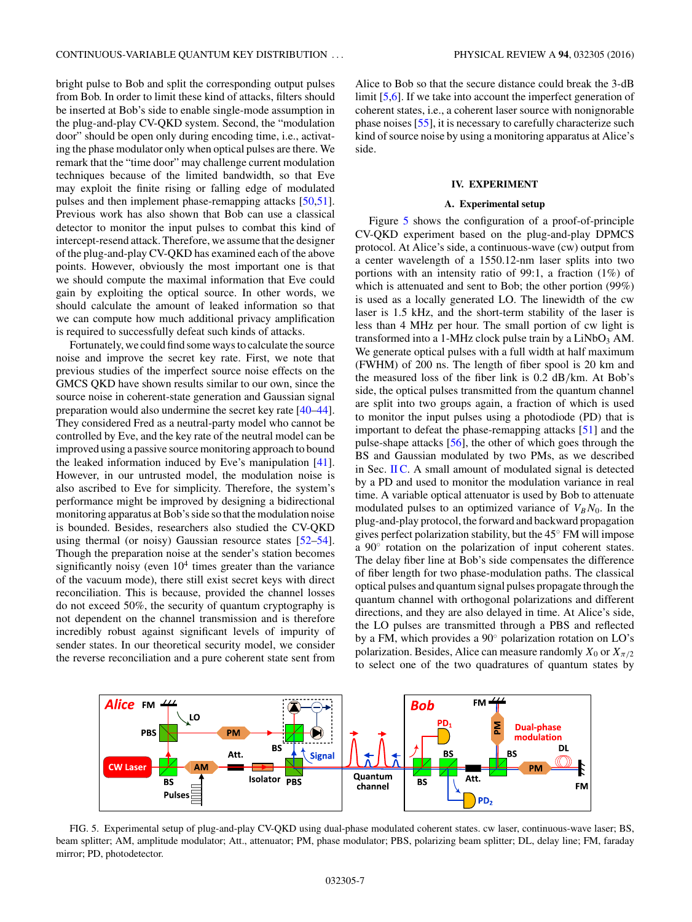<span id="page-6-0"></span>bright pulse to Bob and split the corresponding output pulses from Bob. In order to limit these kind of attacks, filters should be inserted at Bob's side to enable single-mode assumption in the plug-and-play CV-QKD system. Second, the "modulation door" should be open only during encoding time, i.e., activating the phase modulator only when optical pulses are there. We remark that the "time door" may challenge current modulation techniques because of the limited bandwidth, so that Eve may exploit the finite rising or falling edge of modulated pulses and then implement phase-remapping attacks [\[50,51\]](#page-10-0). Previous work has also shown that Bob can use a classical detector to monitor the input pulses to combat this kind of intercept-resend attack. Therefore, we assume that the designer of the plug-and-play CV-QKD has examined each of the above points. However, obviously the most important one is that we should compute the maximal information that Eve could gain by exploiting the optical source. In other words, we should calculate the amount of leaked information so that we can compute how much additional privacy amplification is required to successfully defeat such kinds of attacks.

Fortunately, we could find some ways to calculate the source noise and improve the secret key rate. First, we note that previous studies of the imperfect source noise effects on the GMCS QKD have shown results similar to our own, since the source noise in coherent-state generation and Gaussian signal preparation would also undermine the secret key rate [\[40–44\]](#page-10-0). They considered Fred as a neutral-party model who cannot be controlled by Eve, and the key rate of the neutral model can be improved using a passive source monitoring approach to bound the leaked information induced by Eve's manipulation [\[41\]](#page-10-0). However, in our untrusted model, the modulation noise is also ascribed to Eve for simplicity. Therefore, the system's performance might be improved by designing a bidirectional monitoring apparatus at Bob's side so that the modulation noise is bounded. Besides, researchers also studied the CV-QKD using thermal (or noisy) Gaussian resource states [\[52–54\]](#page-10-0). Though the preparation noise at the sender's station becomes significantly noisy (even  $10<sup>4</sup>$  times greater than the variance of the vacuum mode), there still exist secret keys with direct reconciliation. This is because, provided the channel losses do not exceed 50%, the security of quantum cryptography is not dependent on the channel transmission and is therefore incredibly robust against significant levels of impurity of sender states. In our theoretical security model, we consider the reverse reconciliation and a pure coherent state sent from

Alice to Bob so that the secure distance could break the 3-dB limit [\[5,6\]](#page-10-0). If we take into account the imperfect generation of coherent states, i.e., a coherent laser source with nonignorable phase noises [\[55\]](#page-10-0), it is necessary to carefully characterize such kind of source noise by using a monitoring apparatus at Alice's side.

### **IV. EXPERIMENT**

#### **A. Experimental setup**

Figure 5 shows the configuration of a proof-of-principle CV-QKD experiment based on the plug-and-play DPMCS protocol. At Alice's side, a continuous-wave (cw) output from a center wavelength of a 1550.12-nm laser splits into two portions with an intensity ratio of 99:1, a fraction (1%) of which is attenuated and sent to Bob; the other portion (99%) is used as a locally generated LO. The linewidth of the cw laser is 1.5 kHz, and the short-term stability of the laser is less than 4 MHz per hour. The small portion of cw light is transformed into a 1-MHz clock pulse train by a  $LiNbO<sub>3</sub>$  AM. We generate optical pulses with a full width at half maximum (FWHM) of 200 ns. The length of fiber spool is 20 km and the measured loss of the fiber link is 0.2 dB*/*km. At Bob's side, the optical pulses transmitted from the quantum channel are split into two groups again, a fraction of which is used to monitor the input pulses using a photodiode (PD) that is important to defeat the phase-remapping attacks [\[51\]](#page-10-0) and the pulse-shape attacks [\[56\]](#page-10-0), the other of which goes through the BS and Gaussian modulated by two PMs, as we described in Sec. [II C.](#page-2-0) A small amount of modulated signal is detected by a PD and used to monitor the modulation variance in real time. A variable optical attenuator is used by Bob to attenuate modulated pulses to an optimized variance of  $V_B N_0$ . In the plug-and-play protocol, the forward and backward propagation gives perfect polarization stability, but the 45◦ FM will impose a 90◦ rotation on the polarization of input coherent states. The delay fiber line at Bob's side compensates the difference of fiber length for two phase-modulation paths. The classical optical pulses and quantum signal pulses propagate through the quantum channel with orthogonal polarizations and different directions, and they are also delayed in time. At Alice's side, the LO pulses are transmitted through a PBS and reflected by a FM, which provides a 90◦ polarization rotation on LO's polarization. Besides, Alice can measure randomly  $X_0$  or  $X_{\pi/2}$ to select one of the two quadratures of quantum states by



FIG. 5. Experimental setup of plug-and-play CV-QKD using dual-phase modulated coherent states. cw laser, continuous-wave laser; BS, beam splitter; AM, amplitude modulator; Att., attenuator; PM, phase modulator; PBS, polarizing beam splitter; DL, delay line; FM, faraday mirror; PD, photodetector.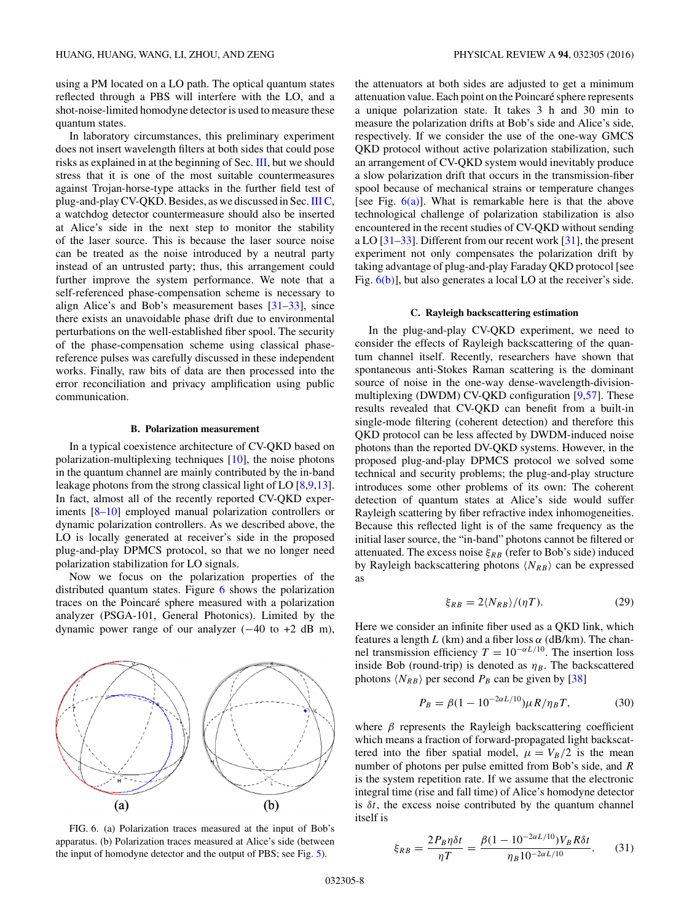<span id="page-7-0"></span>using a PM located on a LO path. The optical quantum states reflected through a PBS will interfere with the LO, and a shot-noise-limited homodyne detector is used to measure these quantum states.

In laboratory circumstances, this preliminary experiment does not insert wavelength filters at both sides that could pose risks as explained in at the beginning of Sec. [III,](#page-3-0) but we should stress that it is one of the most suitable countermeasures against Trojan-horse-type attacks in the further field test of plug-and-play CV-QKD. Besides, as we discussed in Sec.[III C,](#page-5-0) a watchdog detector countermeasure should also be inserted at Alice's side in the next step to monitor the stability of the laser source. This is because the laser source noise can be treated as the noise introduced by a neutral party instead of an untrusted party; thus, this arrangement could further improve the system performance. We note that a self-referenced phase-compensation scheme is necessary to align Alice's and Bob's measurement bases [\[31–33\]](#page-10-0), since there exists an unavoidable phase drift due to environmental perturbations on the well-established fiber spool. The security of the phase-compensation scheme using classical phasereference pulses was carefully discussed in these independent works. Finally, raw bits of data are then processed into the error reconciliation and privacy amplification using public communication.

#### **B. Polarization measurement**

In a typical coexistence architecture of CV-QKD based on polarization-multiplexing techniques [\[10\]](#page-10-0), the noise photons in the quantum channel are mainly contributed by the in-band leakage photons from the strong classical light of LO [\[8,9,13\]](#page-10-0). In fact, almost all of the recently reported CV-QKD experiments [\[8–10\]](#page-10-0) employed manual polarization controllers or dynamic polarization controllers. As we described above, the LO is locally generated at receiver's side in the proposed plug-and-play DPMCS protocol, so that we no longer need polarization stabilization for LO signals.

Now we focus on the polarization properties of the distributed quantum states. Figure 6 shows the polarization traces on the Poincaré sphere measured with a polarization analyzer (PSGA-101, General Photonics). Limited by the dynamic power range of our analyzer  $(-40 \text{ to } +2 \text{ dB m})$ ,



FIG. 6. (a) Polarization traces measured at the input of Bob's apparatus. (b) Polarization traces measured at Alice's side (between the input of homodyne detector and the output of PBS; see Fig. [5\)](#page-6-0).

the attenuators at both sides are adjusted to get a minimum attenuation value. Each point on the Poincaré sphere represents a unique polarization state. It takes 3 h and 30 min to measure the polarization drifts at Bob's side and Alice's side, respectively. If we consider the use of the one-way GMCS QKD protocol without active polarization stabilization, such an arrangement of CV-QKD system would inevitably produce a slow polarization drift that occurs in the transmission-fiber spool because of mechanical strains or temperature changes [see Fig.  $6(a)$ ]. What is remarkable here is that the above technological challenge of polarization stabilization is also encountered in the recent studies of CV-QKD without sending a LO [\[31–33\]](#page-10-0). Different from our recent work [\[31\]](#page-10-0), the present experiment not only compensates the polarization drift by taking advantage of plug-and-play Faraday QKD protocol [see Fig. 6(b)], but also generates a local LO at the receiver's side.

# **C. Rayleigh backscattering estimation**

In the plug-and-play CV-QKD experiment, we need to consider the effects of Rayleigh backscattering of the quantum channel itself. Recently, researchers have shown that spontaneous anti-Stokes Raman scattering is the dominant source of noise in the one-way dense-wavelength-divisionmultiplexing (DWDM) CV-QKD configuration [\[9,57\]](#page-10-0). These results revealed that CV-QKD can benefit from a built-in single-mode filtering (coherent detection) and therefore this QKD protocol can be less affected by DWDM-induced noise photons than the reported DV-QKD systems. However, in the proposed plug-and-play DPMCS protocol we solved some technical and security problems; the plug-and-play structure introduces some other problems of its own: The coherent detection of quantum states at Alice's side would suffer Rayleigh scattering by fiber refractive index inhomogeneities. Because this reflected light is of the same frequency as the initial laser source, the "in-band" photons cannot be filtered or attenuated. The excess noise  $\xi_{RB}$  (refer to Bob's side) induced by Rayleigh backscattering photons  $\langle N_{RB} \rangle$  can be expressed as

$$
\xi_{RB} = 2\langle N_{RB}\rangle / (\eta T). \tag{29}
$$

Here we consider an infinite fiber used as a QKD link, which features a length  $L$  (km) and a fiber loss  $\alpha$  (dB/km). The channel transmission efficiency  $T = 10^{-\alpha L/10}$ . The insertion loss inside Bob (round-trip) is denoted as  $\eta_B$ . The backscattered photons  $\langle N_{RB} \rangle$  per second  $P_B$  can be given by [\[38\]](#page-10-0)

$$
P_B = \beta (1 - 10^{-2\alpha L/10}) \mu R / \eta_B T,\tag{30}
$$

where  $\beta$  represents the Rayleigh backscattering coefficient which means a fraction of forward-propagated light backscattered into the fiber spatial model,  $\mu = V_B/2$  is the mean number of photons per pulse emitted from Bob's side, and *R* is the system repetition rate. If we assume that the electronic integral time (rise and fall time) of Alice's homodyne detector is  $\delta t$ , the excess noise contributed by the quantum channel itself is

$$
\xi_{RB} = \frac{2P_B \eta \delta t}{\eta T} = \frac{\beta (1 - 10^{-2\alpha L/10}) V_B R \delta t}{\eta_B 10^{-2\alpha L/10}}.
$$
 (31)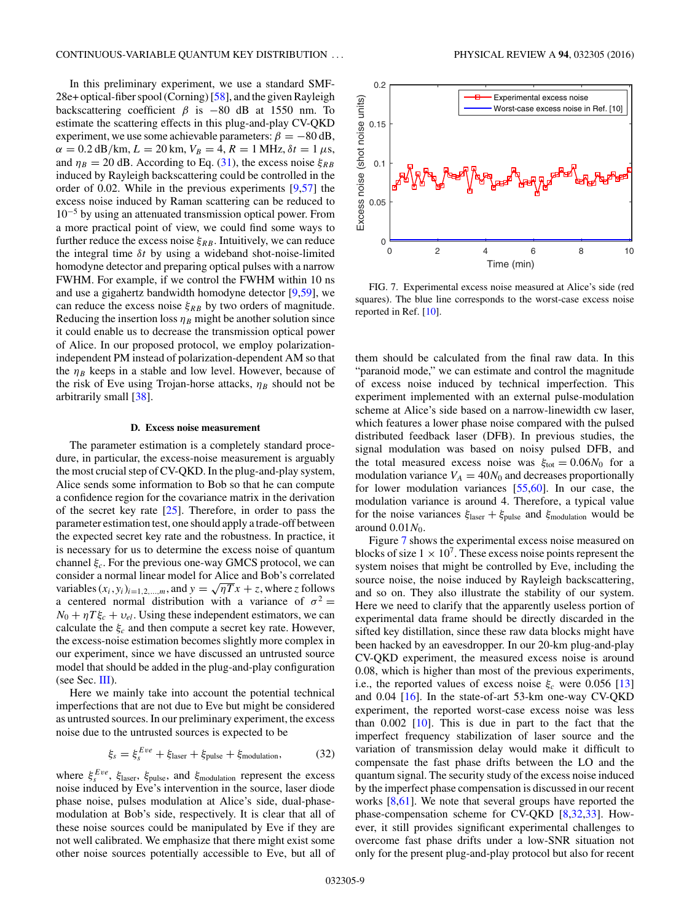In this preliminary experiment, we use a standard SMF-28e+ optical-fiber spool (Corning) [\[58\]](#page-10-0), and the given Rayleigh backscattering coefficient  $\beta$  is  $-80$  dB at 1550 nm. To estimate the scattering effects in this plug-and-play CV-QKD experiment, we use some achievable parameters:  $\beta = -80$  dB,  $\alpha = 0.2$  dB/km,  $L = 20$  km,  $V_B = 4$ ,  $R = 1$  MHz,  $\delta t = 1 \mu s$ , and  $\eta_B = 20$  dB. According to Eq. [\(31\)](#page-7-0), the excess noise  $\xi_{RB}$ induced by Rayleigh backscattering could be controlled in the order of 0.02. While in the previous experiments [\[9,57\]](#page-10-0) the excess noise induced by Raman scattering can be reduced to 10−<sup>5</sup> by using an attenuated transmission optical power. From a more practical point of view, we could find some ways to further reduce the excess noise  $\xi_{RB}$ . Intuitively, we can reduce the integral time *δt* by using a wideband shot-noise-limited homodyne detector and preparing optical pulses with a narrow FWHM. For example, if we control the FWHM within 10 ns and use a gigahertz bandwidth homodyne detector [\[9,59\]](#page-10-0), we can reduce the excess noise  $\xi_{RB}$  by two orders of magnitude. Reducing the insertion loss  $\eta_B$  might be another solution since it could enable us to decrease the transmission optical power of Alice. In our proposed protocol, we employ polarizationindependent PM instead of polarization-dependent AM so that the  $\eta_B$  keeps in a stable and low level. However, because of the risk of Eve using Trojan-horse attacks,  $\eta_B$  should not be arbitrarily small [\[38\]](#page-10-0).

# **D. Excess noise measurement**

The parameter estimation is a completely standard procedure, in particular, the excess-noise measurement is arguably the most crucial step of CV-QKD. In the plug-and-play system, Alice sends some information to Bob so that he can compute a confidence region for the covariance matrix in the derivation of the secret key rate  $[25]$ . Therefore, in order to pass the parameter estimation test, one should apply a trade-off between the expected secret key rate and the robustness. In practice, it is necessary for us to determine the excess noise of quantum channel *ξc*. For the previous one-way GMCS protocol, we can consider a normal linear model for Alice and Bob's correlated variables  $(x_i, y_i)_{i=1,2,...,m}$ , and  $y = \sqrt{nT}x + z$ , where *z* follows a centered normal distribution with a variance of  $\sigma^2$  =  $N_0 + \eta T \xi_c + v_{el}$ . Using these independent estimators, we can calculate the  $\xi_c$  and then compute a secret key rate. However, the excess-noise estimation becomes slightly more complex in our experiment, since we have discussed an untrusted source model that should be added in the plug-and-play configuration (see Sec. [III\)](#page-3-0).

Here we mainly take into account the potential technical imperfections that are not due to Eve but might be considered as untrusted sources. In our preliminary experiment, the excess noise due to the untrusted sources is expected to be

$$
\xi_s = \xi_s^{Eve} + \xi_{\text{laser}} + \xi_{\text{pulse}} + \xi_{\text{modulation}},\tag{32}
$$

where *ξ Eve <sup>s</sup>* , *ξ*laser, *ξ*pulse, and *ξ*modulation represent the excess noise induced by Eve's intervention in the source, laser diode phase noise, pulses modulation at Alice's side, dual-phasemodulation at Bob's side, respectively. It is clear that all of these noise sources could be manipulated by Eve if they are not well calibrated. We emphasize that there might exist some other noise sources potentially accessible to Eve, but all of



FIG. 7. Experimental excess noise measured at Alice's side (red squares). The blue line corresponds to the worst-case excess noise reported in Ref. [\[10\]](#page-10-0).

them should be calculated from the final raw data. In this "paranoid mode," we can estimate and control the magnitude of excess noise induced by technical imperfection. This experiment implemented with an external pulse-modulation scheme at Alice's side based on a narrow-linewidth cw laser, which features a lower phase noise compared with the pulsed distributed feedback laser (DFB). In previous studies, the signal modulation was based on noisy pulsed DFB, and the total measured excess noise was  $\xi_{\text{tot}} = 0.06N_0$  for a modulation variance  $V_A = 40N_0$  and decreases proportionally for lower modulation variances [\[55,60\]](#page-10-0). In our case, the modulation variance is around 4. Therefore, a typical value for the noise variances *ξ*laser + *ξ*pulse and *ξ*modulation would be around  $0.01N_0$ .

Figure 7 shows the experimental excess noise measured on blocks of size  $1 \times 10^7$ . These excess noise points represent the system noises that might be controlled by Eve, including the source noise, the noise induced by Rayleigh backscattering, and so on. They also illustrate the stability of our system. Here we need to clarify that the apparently useless portion of experimental data frame should be directly discarded in the sifted key distillation, since these raw data blocks might have been hacked by an eavesdropper. In our 20-km plug-and-play CV-QKD experiment, the measured excess noise is around 0.08, which is higher than most of the previous experiments, i.e., the reported values of excess noise  $\xi_c$  were 0.056 [\[13\]](#page-10-0) and  $0.04$  [\[16\]](#page-10-0). In the state-of-art 53-km one-way CV-QKD experiment, the reported worst-case excess noise was less than 0.002 [\[10\]](#page-10-0). This is due in part to the fact that the imperfect frequency stabilization of laser source and the variation of transmission delay would make it difficult to compensate the fast phase drifts between the LO and the quantum signal. The security study of the excess noise induced by the imperfect phase compensation is discussed in our recent works [\[8,61\]](#page-10-0). We note that several groups have reported the phase-compensation scheme for CV-QKD [\[8,32,33\]](#page-10-0). However, it still provides significant experimental challenges to overcome fast phase drifts under a low-SNR situation not only for the present plug-and-play protocol but also for recent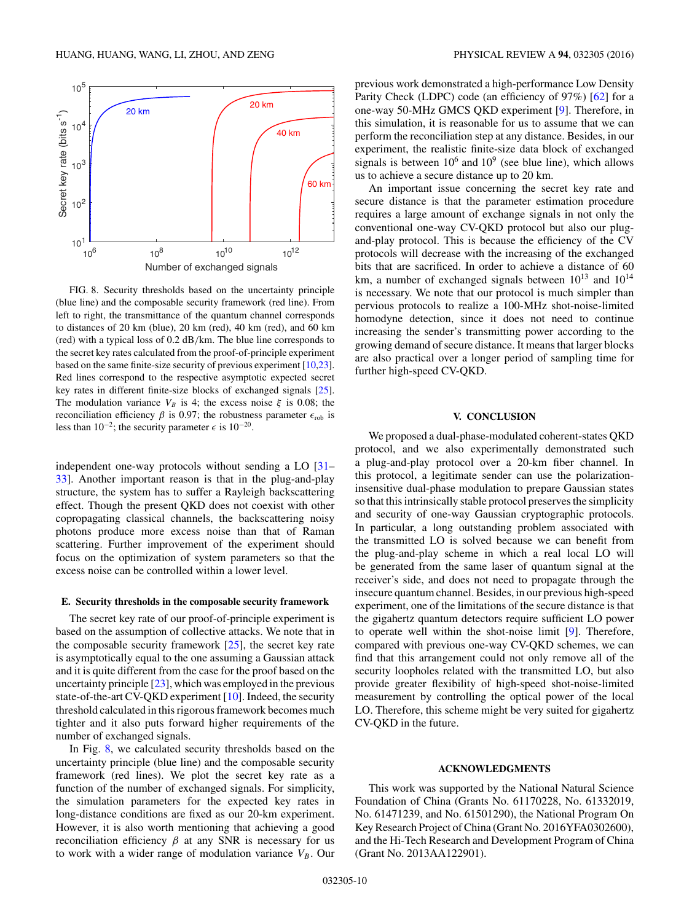<span id="page-9-0"></span>

FIG. 8. Security thresholds based on the uncertainty principle (blue line) and the composable security framework (red line). From left to right, the transmittance of the quantum channel corresponds to distances of 20 km (blue), 20 km (red), 40 km (red), and 60 km (red) with a typical loss of 0.2 dB*/*km. The blue line corresponds to the secret key rates calculated from the proof-of-principle experiment based on the same finite-size security of previous experiment [\[10,23\]](#page-10-0). Red lines correspond to the respective asymptotic expected secret key rates in different finite-size blocks of exchanged signals [\[25\]](#page-10-0). The modulation variance  $V_B$  is 4; the excess noise  $\xi$  is 0.08; the reconciliation efficiency *β* is 0.97; the robustness parameter  $\epsilon_{\text{rob}}$  is less than 10<sup>-2</sup>; the security parameter  $\epsilon$  is 10<sup>-20</sup>.

independent one-way protocols without sending a LO [\[31–](#page-10-0) [33\]](#page-10-0). Another important reason is that in the plug-and-play structure, the system has to suffer a Rayleigh backscattering effect. Though the present QKD does not coexist with other copropagating classical channels, the backscattering noisy photons produce more excess noise than that of Raman scattering. Further improvement of the experiment should focus on the optimization of system parameters so that the excess noise can be controlled within a lower level.

#### **E. Security thresholds in the composable security framework**

The secret key rate of our proof-of-principle experiment is based on the assumption of collective attacks. We note that in the composable security framework  $[25]$ , the secret key rate is asymptotically equal to the one assuming a Gaussian attack and it is quite different from the case for the proof based on the uncertainty principle [\[23\]](#page-10-0), which was employed in the previous state-of-the-art CV-QKD experiment [\[10\]](#page-10-0). Indeed, the security threshold calculated in this rigorous framework becomes much tighter and it also puts forward higher requirements of the number of exchanged signals.

In Fig. 8, we calculated security thresholds based on the uncertainty principle (blue line) and the composable security framework (red lines). We plot the secret key rate as a function of the number of exchanged signals. For simplicity, the simulation parameters for the expected key rates in long-distance conditions are fixed as our 20-km experiment. However, it is also worth mentioning that achieving a good reconciliation efficiency *β* at any SNR is necessary for us to work with a wider range of modulation variance  $V_B$ . Our previous work demonstrated a high-performance Low Density Parity Check (LDPC) code (an efficiency of 97%) [\[62\]](#page-10-0) for a one-way 50-MHz GMCS QKD experiment [\[9\]](#page-10-0). Therefore, in this simulation, it is reasonable for us to assume that we can perform the reconciliation step at any distance. Besides, in our experiment, the realistic finite-size data block of exchanged signals is between  $10^6$  and  $10^9$  (see blue line), which allows us to achieve a secure distance up to 20 km.

An important issue concerning the secret key rate and secure distance is that the parameter estimation procedure requires a large amount of exchange signals in not only the conventional one-way CV-QKD protocol but also our plugand-play protocol. This is because the efficiency of the CV protocols will decrease with the increasing of the exchanged bits that are sacrificed. In order to achieve a distance of 60 km, a number of exchanged signals between  $10^{13}$  and  $10^{14}$ is necessary. We note that our protocol is much simpler than pervious protocols to realize a 100-MHz shot-noise-limited homodyne detection, since it does not need to continue increasing the sender's transmitting power according to the growing demand of secure distance. It means that larger blocks are also practical over a longer period of sampling time for further high-speed CV-QKD.

### **V. CONCLUSION**

We proposed a dual-phase-modulated coherent-states QKD protocol, and we also experimentally demonstrated such a plug-and-play protocol over a 20-km fiber channel. In this protocol, a legitimate sender can use the polarizationinsensitive dual-phase modulation to prepare Gaussian states so that this intrinsically stable protocol preserves the simplicity and security of one-way Gaussian cryptographic protocols. In particular, a long outstanding problem associated with the transmitted LO is solved because we can benefit from the plug-and-play scheme in which a real local LO will be generated from the same laser of quantum signal at the receiver's side, and does not need to propagate through the insecure quantum channel. Besides, in our previous high-speed experiment, one of the limitations of the secure distance is that the gigahertz quantum detectors require sufficient LO power to operate well within the shot-noise limit [\[9\]](#page-10-0). Therefore, compared with previous one-way CV-QKD schemes, we can find that this arrangement could not only remove all of the security loopholes related with the transmitted LO, but also provide greater flexibility of high-speed shot-noise-limited measurement by controlling the optical power of the local LO. Therefore, this scheme might be very suited for gigahertz CV-QKD in the future.

### **ACKNOWLEDGMENTS**

This work was supported by the National Natural Science Foundation of China (Grants No. 61170228, No. 61332019, No. 61471239, and No. 61501290), the National Program On Key Research Project of China (Grant No. 2016YFA0302600), and the Hi-Tech Research and Development Program of China (Grant No. 2013AA122901).